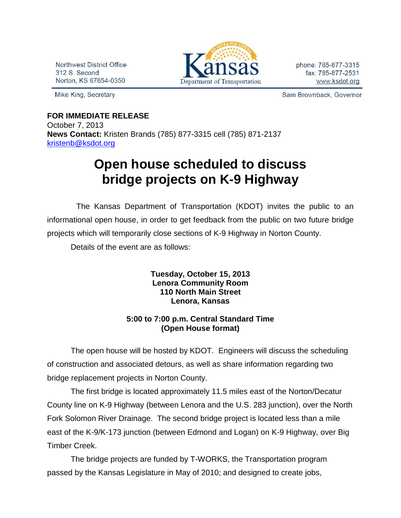Northwest District Office 312 S. Second Norton, KS 67654-0350

Mike King, Secretary



phone: 785-877-3315 fax: 785-877-2531 www.ksdot.org

Sam Brownback, Governor

## **FOR IMMEDIATE RELEASE**

October 7, 2013 **News Contact:** Kristen Brands (785) 877-3315 cell (785) 871-2137 [kristenb@ksdot.org](mailto:kristenb@ksdot.org)

## **Open house scheduled to discuss bridge projects on K-9 Highway**

 The Kansas Department of Transportation (KDOT) invites the public to an informational open house, in order to get feedback from the public on two future bridge projects which will temporarily close sections of K-9 Highway in Norton County.

Details of the event are as follows:

## **Tuesday, October 15, 2013 Lenora Community Room 110 North Main Street Lenora, Kansas**

## **5:00 to 7:00 p.m. Central Standard Time (Open House format)**

The open house will be hosted by KDOT. Engineers will discuss the scheduling of construction and associated detours, as well as share information regarding two bridge replacement projects in Norton County.

The first bridge is located approximately 11.5 miles east of the Norton/Decatur County line on K-9 Highway (between Lenora and the U.S. 283 junction), over the North Fork Solomon River Drainage. The second bridge project is located less than a mile east of the K-9/K-173 junction (between Edmond and Logan) on K-9 Highway, over Big Timber Creek.

The bridge projects are funded by T-WORKS, the Transportation program passed by the Kansas Legislature in May of 2010; and designed to create jobs,